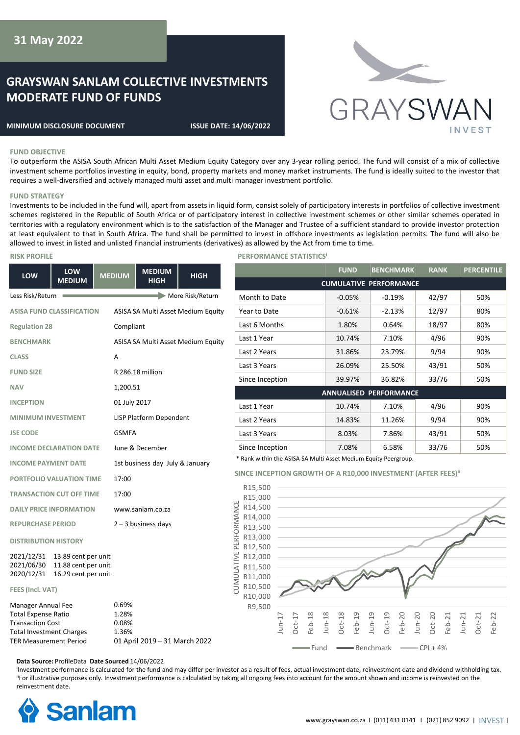# **GRAYSWAN SANLAM COLLECTIVE INVESTMENTS MODERATE FUND OF FUNDS**

#### **MINIMUM DISCLOSURE DOCUMENT ISSUE DATE: 14/06/2022**



#### **FUND OBJECTIVE**

To outperform the ASISA South African Multi Asset Medium Equity Category over any 3-year rolling period. The fund will consist of a mix of collective investment scheme portfolios investing in equity, bond, property markets and money market instruments. The fund is ideally suited to the investor that requires a well-diversified and actively managed multi asset and multi manager investment portfolio.

#### **FUND STRATEGY**

Investments to be included in the fund will, apart from assets in liquid form, consist solely of participatory interests in portfolios of collective investment schemes registered in the Republic of South Africa or of participatory interest in collective investment schemes or other similar schemes operated in territories with a regulatory environment which is to the satisfaction of the Manager and Trustee of a sufficient standard to provide investor protection at least equivalent to that in South Africa. The fund shall be permitted to invest in offshore investments as legislation permits. The fund will also be allowed to invest in listed and unlisted financial instruments (derivatives) as allowed by the Act from time to time.

| LOW                                                                                                                                             | LOW<br><b>MEDIUM</b> | <b>MEDIUM</b>                    | <b>MEDIUM</b><br><b>HIGH</b>       | <b>HIGH</b>      |                        |
|-------------------------------------------------------------------------------------------------------------------------------------------------|----------------------|----------------------------------|------------------------------------|------------------|------------------------|
| Less Risk/Return                                                                                                                                |                      |                                  |                                    | More Risk/Return |                        |
| <b>ASISA FUND CLASSIFICATION</b>                                                                                                                |                      |                                  | ASISA SA Multi Asset Medium Equity |                  |                        |
| <b>Regulation 28</b>                                                                                                                            |                      | Compliant                        |                                    |                  |                        |
| <b>BENCHMARK</b>                                                                                                                                |                      |                                  | ASISA SA Multi Asset Medium Equity |                  |                        |
| <b>CLASS</b>                                                                                                                                    |                      | A                                |                                    |                  |                        |
| <b>FUND SIZE</b>                                                                                                                                |                      |                                  | R 286.18 million                   |                  |                        |
| <b>NAV</b>                                                                                                                                      |                      | 1,200.51                         |                                    |                  |                        |
| <b>INCEPTION</b>                                                                                                                                |                      |                                  | 01 July 2017                       |                  |                        |
| <b>MINIMUM INVESTMENT</b>                                                                                                                       |                      |                                  | <b>LISP Platform Dependent</b>     |                  |                        |
| <b>JSE CODE</b>                                                                                                                                 |                      | <b>GSMFA</b>                     |                                    |                  |                        |
| <b>INCOME DECLARATION DATE</b>                                                                                                                  |                      |                                  | June & December                    |                  |                        |
| <b>INCOME PAYMENT DATE</b>                                                                                                                      |                      |                                  | 1st business day July & January    |                  |                        |
| PORTFOLIO VALUATION TIME                                                                                                                        |                      | 17:00                            |                                    |                  | S                      |
| <b>TRANSACTION CUT OFF TIME</b>                                                                                                                 |                      | 17:00                            |                                    |                  |                        |
| <b>DAILY PRICE INFORMATION</b>                                                                                                                  |                      |                                  | www.sanlam.co.za                   |                  |                        |
| <b>REPURCHASE PERIOD</b>                                                                                                                        |                      |                                  | $2 - 3$ business days              |                  |                        |
| <b>DISTRIBUTION HISTORY</b>                                                                                                                     |                      |                                  |                                    |                  |                        |
| 2021/12/31<br>13.89 cent per unit<br>2021/06/30<br>11.88 cent per unit<br>2020/12/31 16.29 cent per unit                                        |                      |                                  |                                    |                  | CUMULATIVE PERFORMANCE |
| FEES (Incl. VAT)                                                                                                                                |                      |                                  |                                    |                  |                        |
| Manager Annual Fee<br><b>Total Expense Ratio</b><br><b>Transaction Cost</b><br><b>Total Investment Charges</b><br><b>TER Measurement Period</b> |                      | 0.69%<br>1.28%<br>0.08%<br>1.36% | 01 April 2019 - 31 March 2022      |                  |                        |

### **RISK PROFILE PERFORMANCE STATISTICS**

|                               | <b>FUND</b> | <b>BENCHMARK</b> | <b>RANK</b> | <b>PERCENTILE</b> |  |
|-------------------------------|-------------|------------------|-------------|-------------------|--|
| <b>CUMULATIVE PERFORMANCE</b> |             |                  |             |                   |  |
| Month to Date                 | $-0.05%$    | $-0.19%$         | 42/97       | 50%               |  |
| Year to Date                  | $-0.61%$    | $-2.13%$         | 12/97       | 80%               |  |
| Last 6 Months                 | 1.80%       | 0.64%            | 18/97       | 80%               |  |
| Last 1 Year                   | 10.74%      | 7.10%            | 4/96        | 90%               |  |
| Last 2 Years                  | 31.86%      | 23.79%           | 9/94        | 90%               |  |
| Last 3 Years                  | 26.09%      | 25.50%           | 43/91       | 50%               |  |
| Since Inception               | 39.97%      | 36.82%           | 33/76       | 50%               |  |
| <b>ANNUALISED PERFORMANCE</b> |             |                  |             |                   |  |
| Last 1 Year                   | 10.74%      | 7.10%            | 4/96        | 90%               |  |
| Last 2 Years                  | 14.83%      | 11.26%           | 9/94        | 90%               |  |
| Last 3 Years                  | 8.03%       | 7.86%            | 43/91       | 50%               |  |
| Since Inception               | 7.08%       | 6.58%            | 33/76       | 50%               |  |

\* Rank within the ASISA SA Multi Asset Medium Equity Peergroup.

**SINCE INCEPTION GROWTH OF A R10,000 INVESTMENT (AFTER FEES)<sup>ii</sup>** 



**Data Source:** ProfileData **Date Sourced** 14/06/2022

<sup>I</sup>Investment performance is calculated for the fund and may differ per investor as a result of fees, actual investment date, reinvestment date and dividend withholding tax. "For illustrative purposes only. Investment performance is calculated by taking all ongoing fees into account for the amount shown and income is reinvested on the reinvestment date.

CUMULATIVE PERFORMANCE

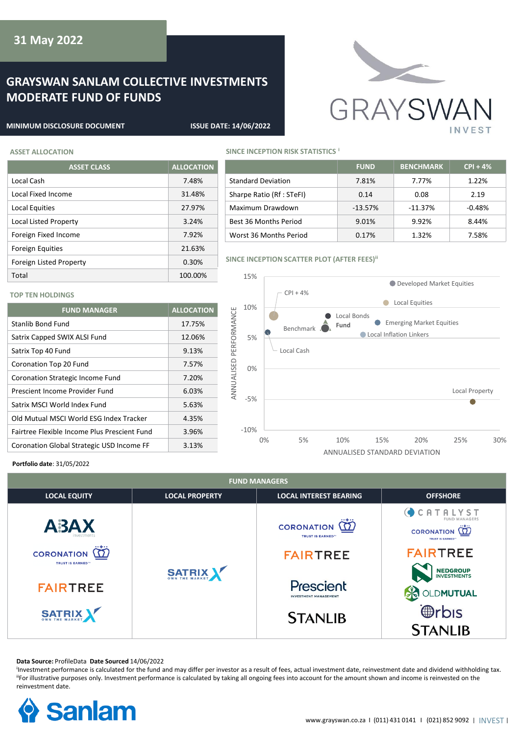# **GRAYSWAN SANLAM COLLECTIVE INVESTMENTS MODERATE FUND OF FUNDS**



#### **MINIMUM DISCLOSURE DOCUMENT ISSUE DATE: 14/06/2022**

## **ASSET ALLOCATION SINCE INCEPTION RISK STATISTICS i**

**TOP TEN HOLDINGS**

| 83361 ALLVCAIIVII            |                   |  |  |
|------------------------------|-------------------|--|--|
| <b>ASSET CLASS</b>           | <b>ALLOCATION</b> |  |  |
| Local Cash                   | 7.48%             |  |  |
| Local Fixed Income           | 31.48%            |  |  |
| Local Equities               | 27.97%            |  |  |
| <b>Local Listed Property</b> | 3.24%             |  |  |
| Foreign Fixed Income         | 7.92%             |  |  |
| <b>Foreign Equities</b>      | 21.63%            |  |  |
| Foreign Listed Property      | 0.30%             |  |  |
| Total                        | 100.00%           |  |  |

Stanlib Bond Fund 17.75% Satrix Capped SWIX ALSI Fund 12.06% Satrix Top 40 Fund 9.13% Coronation Top 20 Fund 7.57% Coronation Strategic Income Fund 7.20% Prescient Income Provider Fund 6.03% Satrix MSCI World Index Fund 5.63% Old Mutual MSCI World ESG Index Tracker 4.35% Fairtree Flexible Income Plus Prescient Fund 3.96% Coronation Global Strategic USD Income FF 3.13%

**FUND MANAGER ALLOCATION**

|                           | <b>FUND</b> | <b>BENCHMARK</b> | $CPI + 4%$ |
|---------------------------|-------------|------------------|------------|
| <b>Standard Deviation</b> | 7.81%       | 7.77%            | $1.22\%$   |
| Sharpe Ratio (Rf : STeFI) | 0.14        | 0.08             | 2.19       |
| Maximum Drawdown          | $-13.57%$   | $-11.37%$        | $-0.48%$   |
| Best 36 Months Period     | 9.01%       | 9.92%            | 8.44%      |
| Worst 36 Months Period    | 0.17%       | 1.32%            | 7.58%      |

## **SINCE INCEPTION SCATTER PLOT (AFTER FEES)<sup>ii</sup>**



#### **Portfolio date**: 31/05/2022

| <b>FUND MANAGERS</b>                                                                                                |                       |                                                                                                                                             |                                                                                                                                                                                          |  |  |
|---------------------------------------------------------------------------------------------------------------------|-----------------------|---------------------------------------------------------------------------------------------------------------------------------------------|------------------------------------------------------------------------------------------------------------------------------------------------------------------------------------------|--|--|
| <b>LOCAL EQUITY</b>                                                                                                 | <b>LOCAL PROPERTY</b> | <b>LOCAL INTEREST BEARING</b>                                                                                                               | <b>OFFSHORE</b>                                                                                                                                                                          |  |  |
| ABAX<br>nyestments<br><b>CORONATION</b><br><b>TRUST IS EARNED</b> <sup>16</sup><br><b>FAIRTREE</b><br><b>SATRIX</b> | SATRIX                | <b>CORONATION</b><br><b>TRUST IS EARNED</b> <sup>18</sup><br><b>FAIRTREE</b><br>Prescient<br><b>INVESTMENT MANAGEMENT</b><br><b>STANLIB</b> | CATALYST<br><b>FUND MANAGERS</b><br>CORONATION (T)<br><b>TRUST IS EARNED"</b><br><b>FAIRTREE</b><br><b>NEDGROUP</b><br>INVESTMENTS<br><b>OLDMUTUAL</b><br><b>@rbis</b><br><b>STANLIB</b> |  |  |

#### **Data Source:** ProfileData **Date Sourced** 14/06/2022

<sup>I</sup>Investment performance is calculated for the fund and may differ per investor as a result of fees, actual investment date, reinvestment date and dividend withholding tax. "For illustrative purposes only. Investment performance is calculated by taking all ongoing fees into account for the amount shown and income is reinvested on the reinvestment date.

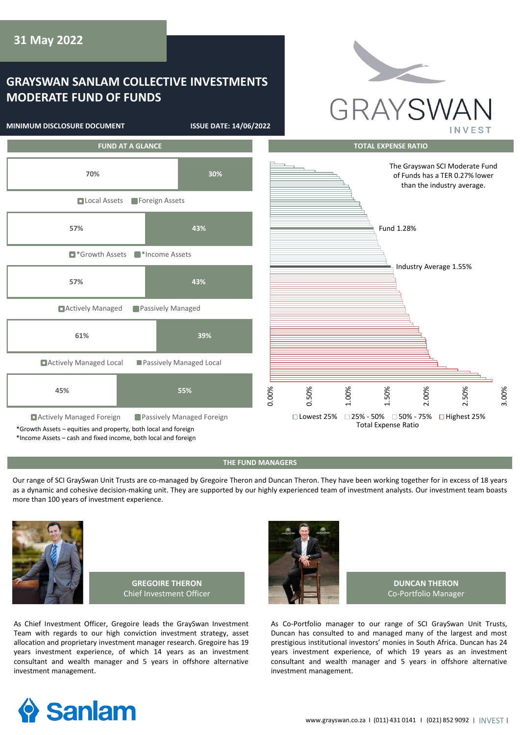# **GRAYSWAN SANLAM COLLECTIVE INVESTMENTS MODERATE FUND OF FUNDS**

**MINIMUM DISCLOSURE DOCUMENT ISSUE DATE: 14/06/2022**





## **THE FUND MANAGERS**

Our range of SCI GraySwan Unit Trusts are co-managed by Gregoire Theron and Duncan Theron. They have been working together for in excess of 18 years as a dynamic and cohesive decision-making unit. They are supported by our highly experienced team of investment analysts. Our investment team boasts more than 100 years of investment experience.



**GREGOIRE THERON** Chief Investment Officer

As Chief Investment Officer, Gregoire leads the GraySwan Investment Team with regards to our high conviction investment strategy, asset allocation and proprietary investment manager research. Gregoire has 19 years investment experience, of which 14 years as an investment consultant and wealth manager and 5 years in offshore alternative investment management.



**DUNCAN THERON** Co-Portfolio Manager

As Co-Portfolio manager to our range of SCI GraySwan Unit Trusts, Duncan has consulted to and managed many of the largest and most prestigious institutional investors' monies in South Africa. Duncan has 24 years investment experience, of which 19 years as an investment consultant and wealth manager and 5 years in offshore alternative investment management.